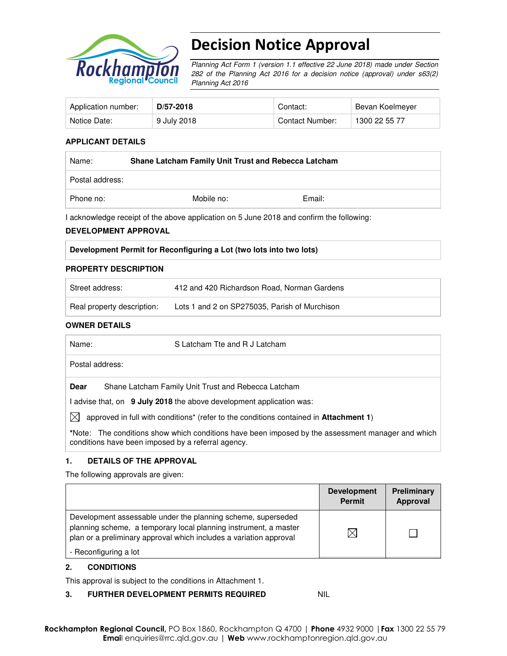

# Decision Notice Approval

Planning Act Form 1 (version 1.1 effective 22 June 2018) made under Section 282 of the Planning Act 2016 for a decision notice (approval) under s63(2) Planning Act 2016

| Application number: | D/57-2018   | Contact:        | Bevan Koelmeyer |
|---------------------|-------------|-----------------|-----------------|
| Notice Date:        | 9 July 2018 | Contact Number: | 1300 22 55 77   |

#### **APPLICANT DETAILS**

| Name:           | Shane Latcham Family Unit Trust and Rebecca Latcham |        |  |
|-----------------|-----------------------------------------------------|--------|--|
| Postal address: |                                                     |        |  |
| Phone no:       | Mobile no:                                          | Email: |  |

I acknowledge receipt of the above application on 5 June 2018 and confirm the following:

#### **DEVELOPMENT APPROVAL**

| Development Permit for Reconfiguring a Lot (two lots into two lots) |
|---------------------------------------------------------------------|
|---------------------------------------------------------------------|

#### **PROPERTY DESCRIPTION**

| Street address:            | 412 and 420 Richardson Road, Norman Gardens   |
|----------------------------|-----------------------------------------------|
| Real property description: | Lots 1 and 2 on SP275035, Parish of Murchison |

#### **OWNER DETAILS**

| S Latcham Tte and R J Latcham<br>Name:                                                                                                                  |  |
|---------------------------------------------------------------------------------------------------------------------------------------------------------|--|
| Postal address:                                                                                                                                         |  |
| Shane Latcham Family Unit Trust and Rebecca Latcham<br>Dear                                                                                             |  |
| I advise that, on 9 July 2018 the above development application was:                                                                                    |  |
| approved in full with conditions <sup>*</sup> (refer to the conditions contained in <b>Attachment 1</b> )<br>IXI                                        |  |
| *Note: The conditions show which conditions have been imposed by the assessment manager and which<br>conditions have been imposed by a referral agency. |  |

#### **1. DETAILS OF THE APPROVAL**

The following approvals are given:

|                                                                                                                                                                                                                                 | <b>Development</b><br><b>Permit</b> | Preliminary<br>Approval |
|---------------------------------------------------------------------------------------------------------------------------------------------------------------------------------------------------------------------------------|-------------------------------------|-------------------------|
| Development assessable under the planning scheme, superseded<br>planning scheme, a temporary local planning instrument, a master<br>plan or a preliminary approval which includes a variation approval<br>- Reconfiguring a lot |                                     |                         |

### **2. CONDITIONS**

This approval is subject to the conditions in Attachment 1.

#### **3. FURTHER DEVELOPMENT PERMITS REQUIRED NIL**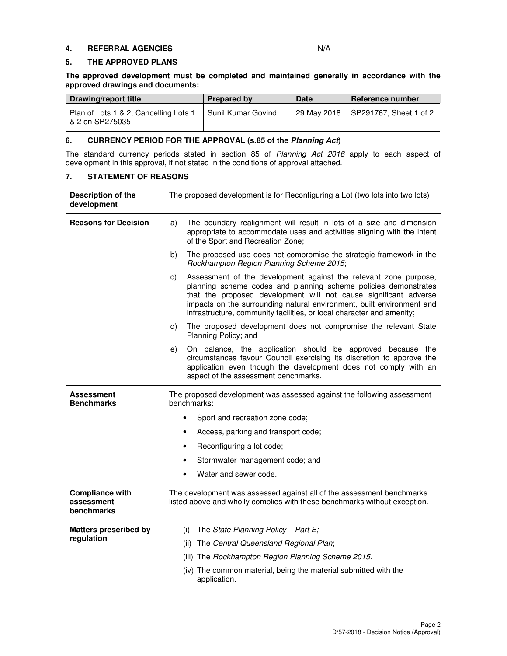#### **4. REFERRAL AGENCIES** N/A

#### **5. THE APPROVED PLANS**

**The approved development must be completed and maintained generally in accordance with the approved drawings and documents:** 

| Drawing/report title                                     | Prepared by        | <b>Date</b> | Reference number                     |
|----------------------------------------------------------|--------------------|-------------|--------------------------------------|
| Plan of Lots 1 & 2, Cancelling Lots 1<br>& 2 on SP275035 | Sunil Kumar Govind |             | 29 May 2018   SP291767, Sheet 1 of 2 |

#### **6. CURRENCY PERIOD FOR THE APPROVAL (s.85 of the Planning Act)**

The standard currency periods stated in section 85 of Planning Act 2016 apply to each aspect of development in this approval, if not stated in the conditions of approval attached.

# **7. STATEMENT OF REASONS**

| Description of the<br>development                  | The proposed development is for Reconfiguring a Lot (two lots into two lots)                                                                                                                                                                                                                                                                                    |  |  |
|----------------------------------------------------|-----------------------------------------------------------------------------------------------------------------------------------------------------------------------------------------------------------------------------------------------------------------------------------------------------------------------------------------------------------------|--|--|
| <b>Reasons for Decision</b>                        | The boundary realignment will result in lots of a size and dimension<br>a)<br>appropriate to accommodate uses and activities aligning with the intent<br>of the Sport and Recreation Zone;                                                                                                                                                                      |  |  |
|                                                    | The proposed use does not compromise the strategic framework in the<br>b)<br>Rockhampton Region Planning Scheme 2015;                                                                                                                                                                                                                                           |  |  |
|                                                    | Assessment of the development against the relevant zone purpose,<br>c)<br>planning scheme codes and planning scheme policies demonstrates<br>that the proposed development will not cause significant adverse<br>impacts on the surrounding natural environment, built environment and<br>infrastructure, community facilities, or local character and amenity; |  |  |
|                                                    | The proposed development does not compromise the relevant State<br>d)<br>Planning Policy; and                                                                                                                                                                                                                                                                   |  |  |
|                                                    | On balance, the application should be approved because the<br>e)<br>circumstances favour Council exercising its discretion to approve the<br>application even though the development does not comply with an<br>aspect of the assessment benchmarks.                                                                                                            |  |  |
| <b>Assessment</b>                                  | The proposed development was assessed against the following assessment<br>benchmarks:                                                                                                                                                                                                                                                                           |  |  |
| <b>Benchmarks</b>                                  |                                                                                                                                                                                                                                                                                                                                                                 |  |  |
|                                                    | Sport and recreation zone code;                                                                                                                                                                                                                                                                                                                                 |  |  |
|                                                    | Access, parking and transport code;<br>$\bullet$                                                                                                                                                                                                                                                                                                                |  |  |
|                                                    | Reconfiguring a lot code;<br>$\bullet$                                                                                                                                                                                                                                                                                                                          |  |  |
|                                                    | Stormwater management code; and<br>٠                                                                                                                                                                                                                                                                                                                            |  |  |
|                                                    | Water and sewer code.<br>$\bullet$                                                                                                                                                                                                                                                                                                                              |  |  |
| <b>Compliance with</b><br>assessment<br>benchmarks | The development was assessed against all of the assessment benchmarks<br>listed above and wholly complies with these benchmarks without exception.                                                                                                                                                                                                              |  |  |
| <b>Matters prescribed by</b>                       | The State Planning Policy - Part $E_i$<br>(i)                                                                                                                                                                                                                                                                                                                   |  |  |
| regulation                                         | The Central Queensland Regional Plan;<br>(ii)                                                                                                                                                                                                                                                                                                                   |  |  |
|                                                    | (iii) The Rockhampton Region Planning Scheme 2015.                                                                                                                                                                                                                                                                                                              |  |  |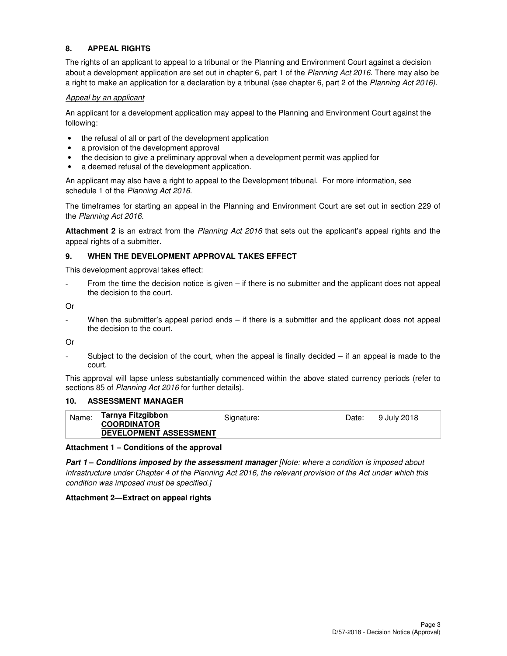# **8. APPEAL RIGHTS**

The rights of an applicant to appeal to a tribunal or the Planning and Environment Court against a decision about a development application are set out in chapter 6, part 1 of the Planning Act 2016. There may also be a right to make an application for a declaration by a tribunal (see chapter 6, part 2 of the Planning Act 2016).

#### Appeal by an applicant

An applicant for a development application may appeal to the Planning and Environment Court against the following:

- the refusal of all or part of the development application
- a provision of the development approval
- the decision to give a preliminary approval when a development permit was applied for
- a deemed refusal of the development application.

An applicant may also have a right to appeal to the Development tribunal. For more information, see schedule 1 of the Planning Act 2016.

The timeframes for starting an appeal in the Planning and Environment Court are set out in section 229 of the Planning Act 2016.

**Attachment 2** is an extract from the Planning Act 2016 that sets out the applicant's appeal rights and the appeal rights of a submitter.

#### **9. WHEN THE DEVELOPMENT APPROVAL TAKES EFFECT**

This development approval takes effect:

From the time the decision notice is given – if there is no submitter and the applicant does not appeal the decision to the court.

Or

When the submitter's appeal period ends – if there is a submitter and the applicant does not appeal the decision to the court.

Or

Subject to the decision of the court, when the appeal is finally decided  $-$  if an appeal is made to the court.

This approval will lapse unless substantially commenced within the above stated currency periods (refer to sections 85 of Planning Act 2016 for further details).

### **10. ASSESSMENT MANAGER**

| Name: | Tarnya Fitzgibbon             | Signature: | Date: | 9 July 2018 |
|-------|-------------------------------|------------|-------|-------------|
|       | <b>COORDINATOR</b>            |            |       |             |
|       | <b>DEVELOPMENT ASSESSMENT</b> |            |       |             |

#### **Attachment 1 – Conditions of the approval**

**Part 1 – Conditions imposed by the assessment manager** [Note: where a condition is imposed about infrastructure under Chapter 4 of the Planning Act 2016, the relevant provision of the Act under which this condition was imposed must be specified.]

#### **Attachment 2—Extract on appeal rights**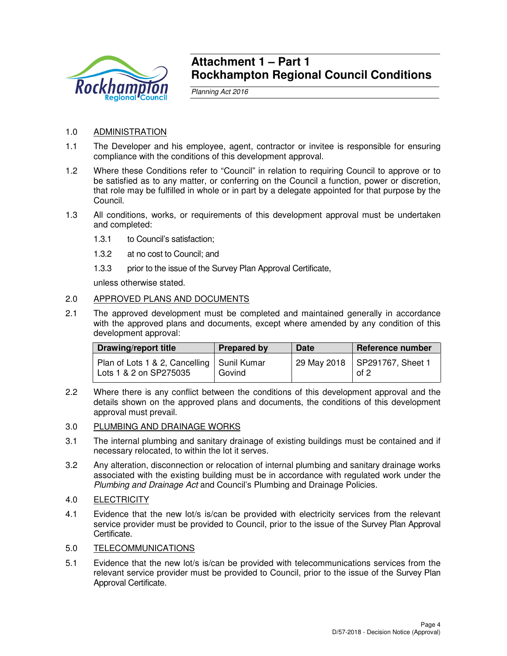

# **Attachment 1 – Part 1 Rockhampton Regional Council Conditions**

Planning Act 2016

# 1.0 ADMINISTRATION

- 1.1 The Developer and his employee, agent, contractor or invitee is responsible for ensuring compliance with the conditions of this development approval.
- 1.2 Where these Conditions refer to "Council" in relation to requiring Council to approve or to be satisfied as to any matter, or conferring on the Council a function, power or discretion, that role may be fulfilled in whole or in part by a delegate appointed for that purpose by the Council.
- 1.3 All conditions, works, or requirements of this development approval must be undertaken and completed:
	- 1.3.1 to Council's satisfaction;
	- 1.3.2 at no cost to Council; and
	- 1.3.3 prior to the issue of the Survey Plan Approval Certificate,

unless otherwise stated.

# 2.0 APPROVED PLANS AND DOCUMENTS

2.1 The approved development must be completed and maintained generally in accordance with the approved plans and documents, except where amended by any condition of this development approval:

| Drawing/report title                                                   | <b>Prepared by</b> | <b>Date</b> | <b>Reference number</b>                 |
|------------------------------------------------------------------------|--------------------|-------------|-----------------------------------------|
| Plan of Lots 1 & 2, Cancelling   Sunil Kumar<br>Lots 1 & 2 on SP275035 | Govind             |             | 29 May 2018   SP291767, Sheet 1<br>of 2 |

2.2 Where there is any conflict between the conditions of this development approval and the details shown on the approved plans and documents, the conditions of this development approval must prevail.

# 3.0 PLUMBING AND DRAINAGE WORKS

- 3.1 The internal plumbing and sanitary drainage of existing buildings must be contained and if necessary relocated, to within the lot it serves.
- 3.2 Any alteration, disconnection or relocation of internal plumbing and sanitary drainage works associated with the existing building must be in accordance with regulated work under the Plumbing and Drainage Act and Council's Plumbing and Drainage Policies.
- 4.0 ELECTRICITY
- 4.1 Evidence that the new lot/s is/can be provided with electricity services from the relevant service provider must be provided to Council, prior to the issue of the Survey Plan Approval Certificate.

# 5.0 TELECOMMUNICATIONS

5.1 Evidence that the new lot/s is/can be provided with telecommunications services from the relevant service provider must be provided to Council, prior to the issue of the Survey Plan Approval Certificate.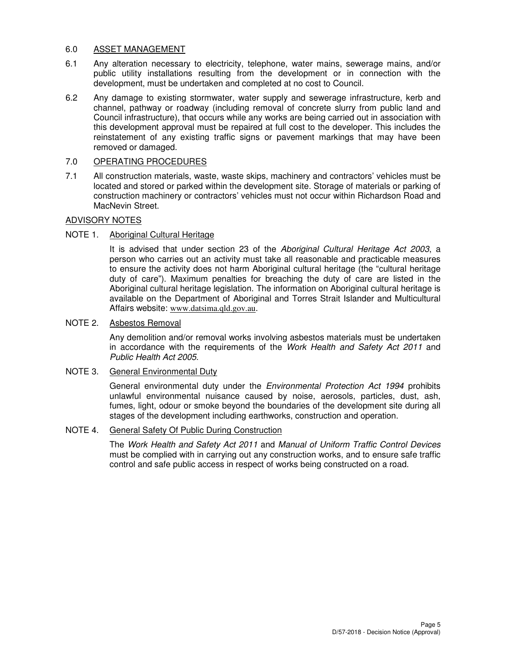### 6.0 ASSET MANAGEMENT

- 6.1 Any alteration necessary to electricity, telephone, water mains, sewerage mains, and/or public utility installations resulting from the development or in connection with the development, must be undertaken and completed at no cost to Council.
- 6.2 Any damage to existing stormwater, water supply and sewerage infrastructure, kerb and channel, pathway or roadway (including removal of concrete slurry from public land and Council infrastructure), that occurs while any works are being carried out in association with this development approval must be repaired at full cost to the developer. This includes the reinstatement of any existing traffic signs or pavement markings that may have been removed or damaged.

# 7.0 OPERATING PROCEDURES

7.1 All construction materials, waste, waste skips, machinery and contractors' vehicles must be located and stored or parked within the development site. Storage of materials or parking of construction machinery or contractors' vehicles must not occur within Richardson Road and MacNevin Street.

### ADVISORY NOTES

# NOTE 1. Aboriginal Cultural Heritage

It is advised that under section 23 of the Aboriginal Cultural Heritage Act 2003, a person who carries out an activity must take all reasonable and practicable measures to ensure the activity does not harm Aboriginal cultural heritage (the "cultural heritage duty of care"). Maximum penalties for breaching the duty of care are listed in the Aboriginal cultural heritage legislation. The information on Aboriginal cultural heritage is available on the Department of Aboriginal and Torres Strait Islander and Multicultural Affairs website: www.datsima.qld.gov.au.

### NOTE 2. Asbestos Removal

Any demolition and/or removal works involving asbestos materials must be undertaken in accordance with the requirements of the Work Health and Safety Act 2011 and Public Health Act 2005.

### NOTE 3. General Environmental Duty

General environmental duty under the *Environmental Protection Act 1994* prohibits unlawful environmental nuisance caused by noise, aerosols, particles, dust, ash, fumes, light, odour or smoke beyond the boundaries of the development site during all stages of the development including earthworks, construction and operation.

# NOTE 4. General Safety Of Public During Construction

The Work Health and Safety Act 2011 and Manual of Uniform Traffic Control Devices must be complied with in carrying out any construction works, and to ensure safe traffic control and safe public access in respect of works being constructed on a road.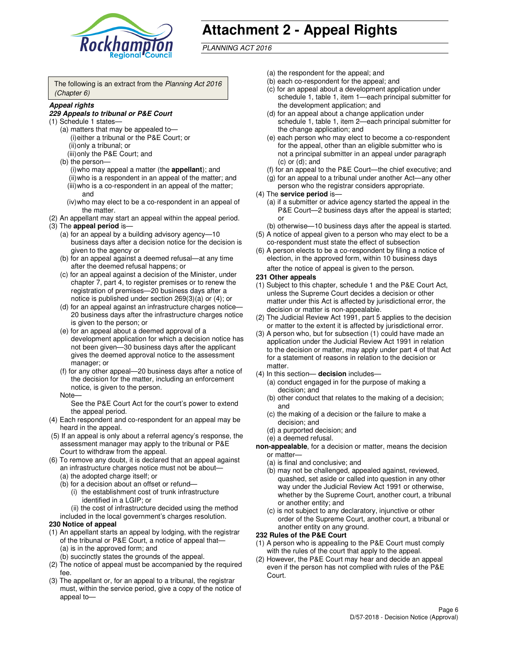

# **Attachment 2 - Appeal Rights**

PLANNING ACT 2016

The following is an extract from the Planning Act 2016 (Chapter 6)

#### **Appeal rights**

#### **229 Appeals to tribunal or P&E Court**

- (1) Schedule 1 states—
	- (a) matters that may be appealed to— (i) either a tribunal or the P&E Court; or (ii) only a tribunal; or (iii) only the P&E Court; and
	- (b) the person—
		- (i) who may appeal a matter (the **appellant**); and
		- (ii) who is a respondent in an appeal of the matter; and (iii) who is a co-respondent in an appeal of the matter; and
		- (iv) who may elect to be a co-respondent in an appeal of the matter.
- (2) An appellant may start an appeal within the appeal period.
- (3) The **appeal period** is—
	- (a) for an appeal by a building advisory agency—10 business days after a decision notice for the decision is given to the agency or
	- (b) for an appeal against a deemed refusal—at any time after the deemed refusal happens; or
	- (c) for an appeal against a decision of the Minister, under chapter 7, part 4, to register premises or to renew the registration of premises—20 business days after a notice is published under section 269(3)(a) or (4); or
	- (d) for an appeal against an infrastructure charges notice— 20 business days after the infrastructure charges notice is given to the person; or
	- (e) for an appeal about a deemed approval of a development application for which a decision notice has not been given—30 business days after the applicant gives the deemed approval notice to the assessment manager; or
	- (f) for any other appeal—20 business days after a notice of the decision for the matter, including an enforcement notice, is given to the person.
	- Note—

See the P&E Court Act for the court's power to extend the appeal period.

- (4) Each respondent and co-respondent for an appeal may be heard in the appeal.
- (5) If an appeal is only about a referral agency's response, the assessment manager may apply to the tribunal or P&E Court to withdraw from the appeal.
- (6) To remove any doubt, it is declared that an appeal against an infrastructure charges notice must not be about—
	- (a) the adopted charge itself; or
	- (b) for a decision about an offset or refund—
		- (i) the establishment cost of trunk infrastructure identified in a LGIP; or
		- (ii) the cost of infrastructure decided using the method
- included in the local government's charges resolution. **230 Notice of appeal**
- (1) An appellant starts an appeal by lodging, with the registrar of the tribunal or P&E Court, a notice of appeal that—
	- (a) is in the approved form; and
	- (b) succinctly states the grounds of the appeal.
- (2) The notice of appeal must be accompanied by the required fee.
- (3) The appellant or, for an appeal to a tribunal, the registrar must, within the service period, give a copy of the notice of appeal to—
- (a) the respondent for the appeal; and
- (b) each co-respondent for the appeal; and
- (c) for an appeal about a development application under schedule 1, table 1, item 1—each principal submitter for the development application; and
- (d) for an appeal about a change application under schedule 1, table 1, item 2—each principal submitter for the change application; and
- (e) each person who may elect to become a co-respondent for the appeal, other than an eligible submitter who is not a principal submitter in an appeal under paragraph  $(c)$  or  $(d)$ ; and
- (f) for an appeal to the P&E Court—the chief executive; and
- (g) for an appeal to a tribunal under another Act—any other person who the registrar considers appropriate.
- (4) The **service period** is—
	- (a) if a submitter or advice agency started the appeal in the P&E Court—2 business days after the appeal is started; or
	- (b) otherwise—10 business days after the appeal is started.
- (5) A notice of appeal given to a person who may elect to be a co-respondent must state the effect of subsection
- (6) A person elects to be a co-respondent by filing a notice of election, in the approved form, within 10 business days after the notice of appeal is given to the person*.*
- **231 Other appeals**
- (1) Subject to this chapter, schedule 1 and the P&E Court Act, unless the Supreme Court decides a decision or other matter under this Act is affected by jurisdictional error, the decision or matter is non-appealable.
- (2) The Judicial Review Act 1991, part 5 applies to the decision or matter to the extent it is affected by jurisdictional error.
- (3) A person who, but for subsection (1) could have made an application under the Judicial Review Act 1991 in relation to the decision or matter, may apply under part 4 of that Act for a statement of reasons in relation to the decision or matter.
- (4) In this section— **decision** includes—
	- (a) conduct engaged in for the purpose of making a decision; and
	- (b) other conduct that relates to the making of a decision; and
	- (c) the making of a decision or the failure to make a decision; and
	- (d) a purported decision; and
	- (e) a deemed refusal.

**non-appealable**, for a decision or matter, means the decision or matter—

- (a) is final and conclusive; and
- (b) may not be challenged, appealed against, reviewed, quashed, set aside or called into question in any other way under the Judicial Review Act 1991 or otherwise, whether by the Supreme Court, another court, a tribunal or another entity; and
- (c) is not subject to any declaratory, injunctive or other order of the Supreme Court, another court, a tribunal or another entity on any ground.

#### **232 Rules of the P&E Court**

- (1) A person who is appealing to the P&E Court must comply with the rules of the court that apply to the appeal.
- (2) However, the P&E Court may hear and decide an appeal even if the person has not complied with rules of the P&E Court.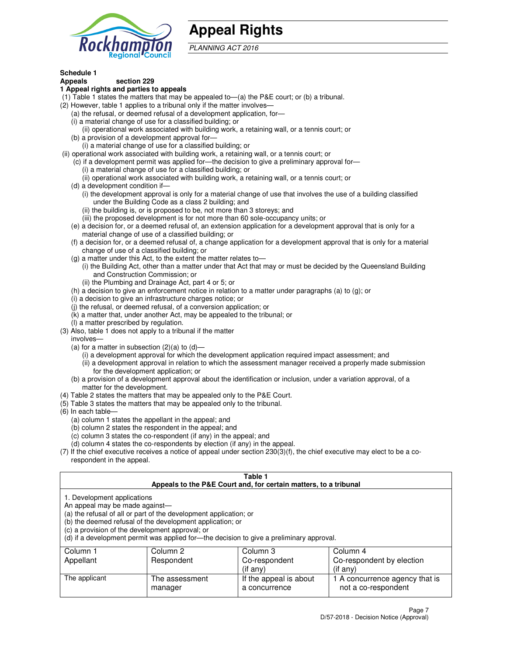

# **Appeal Rights**

PLANNING ACT 2016

# **Schedule 1**

# **Appeals section 229**

#### **1 Appeal rights and parties to appeals**

- (1) Table 1 states the matters that may be appealed to—(a) the P&E court; or (b) a tribunal.
- (2) However, table 1 applies to a tribunal only if the matter involves—
	- (a) the refusal, or deemed refusal of a development application, for—
	- (i) a material change of use for a classified building; or
	- (ii) operational work associated with building work, a retaining wall, or a tennis court; or
	- (b) a provision of a development approval for—
	- (i) a material change of use for a classified building; or
- (ii) operational work associated with building work, a retaining wall, or a tennis court; or
	- (c) if a development permit was applied for—the decision to give a preliminary approval for—
		- (i) a material change of use for a classified building; or
		- (ii) operational work associated with building work, a retaining wall, or a tennis court; or
	- (d) a development condition if—
		- (i) the development approval is only for a material change of use that involves the use of a building classified under the Building Code as a class 2 building; and
		- (ii) the building is, or is proposed to be, not more than 3 storeys; and
		- (iii) the proposed development is for not more than 60 sole-occupancy units; or
	- (e) a decision for, or a deemed refusal of, an extension application for a development approval that is only for a material change of use of a classified building; or
	- (f) a decision for, or a deemed refusal of, a change application for a development approval that is only for a material change of use of a classified building; or
	- (g) a matter under this Act, to the extent the matter relates to—
		- (i) the Building Act, other than a matter under that Act that may or must be decided by the Queensland Building and Construction Commission; or
		- (ii) the Plumbing and Drainage Act, part 4 or 5; or
	- (h) a decision to give an enforcement notice in relation to a matter under paragraphs (a) to (g); or
	- (i) a decision to give an infrastructure charges notice; or
	- (j) the refusal, or deemed refusal, of a conversion application; or
	- (k) a matter that, under another Act, may be appealed to the tribunal; or
	- (l) a matter prescribed by regulation.
- (3) Also, table 1 does not apply to a tribunal if the matter
	- involves—
	- (a) for a matter in subsection  $(2)(a)$  to  $(d)$ 
		- (i) a development approval for which the development application required impact assessment; and
		- (ii) a development approval in relation to which the assessment manager received a properly made submission for the development application; or
	- (b) a provision of a development approval about the identification or inclusion, under a variation approval, of a matter for the development.
- (4) Table 2 states the matters that may be appealed only to the P&E Court.
- (5) Table 3 states the matters that may be appealed only to the tribunal.
- (6) In each table—
	- (a) column 1 states the appellant in the appeal; and
	- (b) column 2 states the respondent in the appeal; and
	- (c) column 3 states the co-respondent (if any) in the appeal; and
	- (d) column 4 states the co-respondents by election (if any) in the appeal.
- $(7)$  If the chief executive receives a notice of appeal under section  $230(3)(f)$ , the chief executive may elect to be a corespondent in the appeal.

| Table 1<br>Appeals to the P&E Court and, for certain matters, to a tribunal                                                                                                                                                                                                                                                                    |                           |                                         |                                                       |  |  |
|------------------------------------------------------------------------------------------------------------------------------------------------------------------------------------------------------------------------------------------------------------------------------------------------------------------------------------------------|---------------------------|-----------------------------------------|-------------------------------------------------------|--|--|
| 1. Development applications<br>An appeal may be made against-<br>(a) the refusal of all or part of the development application; or<br>(b) the deemed refusal of the development application; or<br>(c) a provision of the development approval; or<br>(d) if a development permit was applied for—the decision to give a preliminary approval. |                           |                                         |                                                       |  |  |
| Column 1                                                                                                                                                                                                                                                                                                                                       | Column 2                  | Column 3                                | Column 4                                              |  |  |
| Appellant                                                                                                                                                                                                                                                                                                                                      | Respondent                | Co-respondent                           | Co-respondent by election                             |  |  |
| (if any)<br>$($ if any $)$                                                                                                                                                                                                                                                                                                                     |                           |                                         |                                                       |  |  |
| The applicant                                                                                                                                                                                                                                                                                                                                  | The assessment<br>manager | If the appeal is about<br>a concurrence | 1 A concurrence agency that is<br>not a co-respondent |  |  |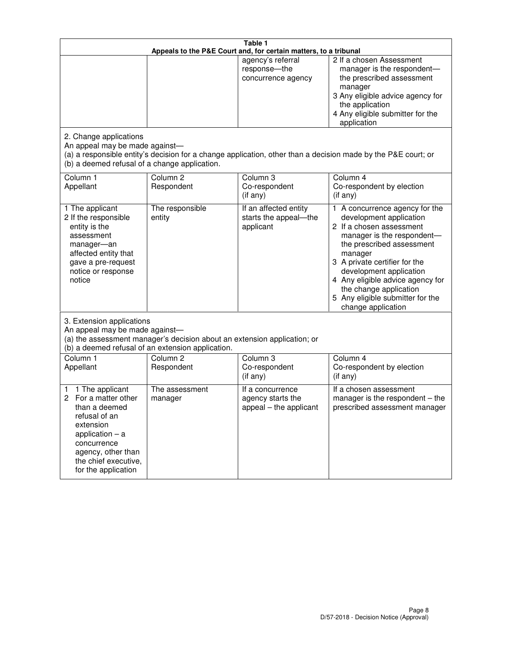| Table 1<br>Appeals to the P&E Court and, for certain matters, to a tribunal                                                                                                                             |                                   |                                                                 |                                                                                                                                                                                                                                                                                                                                                 |  |
|---------------------------------------------------------------------------------------------------------------------------------------------------------------------------------------------------------|-----------------------------------|-----------------------------------------------------------------|-------------------------------------------------------------------------------------------------------------------------------------------------------------------------------------------------------------------------------------------------------------------------------------------------------------------------------------------------|--|
| 2. Change applications                                                                                                                                                                                  |                                   | agency's referral<br>response-the<br>concurrence agency         | 2 If a chosen Assessment<br>manager is the respondent-<br>the prescribed assessment<br>manager<br>3 Any eligible advice agency for<br>the application<br>4 Any eligible submitter for the<br>application                                                                                                                                        |  |
| An appeal may be made against-<br>(b) a deemed refusal of a change application.                                                                                                                         |                                   |                                                                 | (a) a responsible entity's decision for a change application, other than a decision made by the P&E court; or                                                                                                                                                                                                                                   |  |
| Column 1<br>Appellant                                                                                                                                                                                   | Column <sub>2</sub><br>Respondent | Column <sub>3</sub><br>Co-respondent<br>(if any)                | Column 4<br>Co-respondent by election<br>(if any)                                                                                                                                                                                                                                                                                               |  |
| 1 The applicant<br>2 If the responsible<br>entity is the<br>assessment<br>manager-an<br>affected entity that<br>gave a pre-request<br>notice or response<br>notice                                      | The responsible<br>entity         | If an affected entity<br>starts the appeal-the<br>applicant     | 1 A concurrence agency for the<br>development application<br>2 If a chosen assessment<br>manager is the respondent-<br>the prescribed assessment<br>manager<br>3 A private certifier for the<br>development application<br>4 Any eligible advice agency for<br>the change application<br>5 Any eligible submitter for the<br>change application |  |
| 3. Extension applications<br>An appeal may be made against-<br>(a) the assessment manager's decision about an extension application; or<br>(b) a deemed refusal of an extension application.            |                                   |                                                                 |                                                                                                                                                                                                                                                                                                                                                 |  |
| Column 1<br>Appellant                                                                                                                                                                                   | Column <sub>2</sub><br>Respondent | Column <sub>3</sub><br>Co-respondent<br>(if any)                | Column 4<br>Co-respondent by election<br>(if any)                                                                                                                                                                                                                                                                                               |  |
| 1 The applicant<br>1<br>For a matter other<br>2<br>than a deemed<br>refusal of an<br>extension<br>application $-$ a<br>concurrence<br>agency, other than<br>the chief executive,<br>for the application | The assessment<br>manager         | If a concurrence<br>agency starts the<br>appeal - the applicant | If a chosen assessment<br>manager is the respondent $-$ the<br>prescribed assessment manager                                                                                                                                                                                                                                                    |  |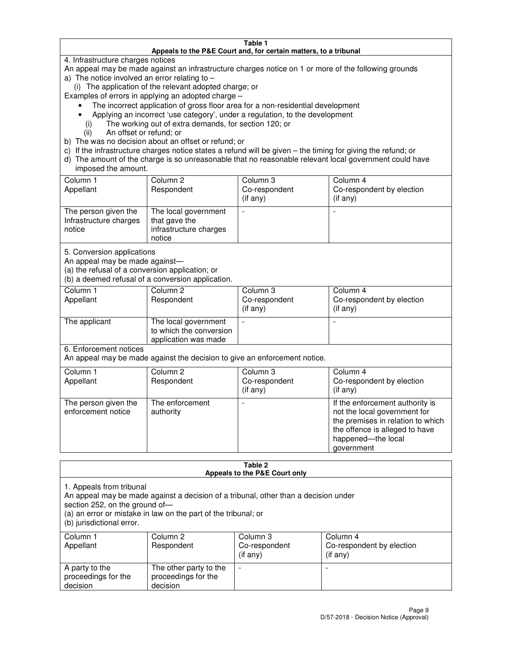#### **Table 1 Appeals to the P&E Court and, for certain matters, to a tribunal**

4. Infrastructure charges notices

An appeal may be made against an infrastructure charges notice on 1 or more of the following grounds

- a) The notice involved an error relating to
	- (i) The application of the relevant adopted charge; or

Examples of errors in applying an adopted charge –

- The incorrect application of gross floor area for a non-residential development
- Applying an incorrect 'use category', under a regulation, to the development
	- (i) The working out of extra demands, for section 120; or
	- (ii) An offset or refund; or
- b) The was no decision about an offset or refund; or
- c) If the infrastructure charges notice states a refund will be given the timing for giving the refund; or
- d) The amount of the charge is so unreasonable that no reasonable relevant local government could have imposed the amount.

| Column 1<br>Appellant                                    | Column 2<br>Respondent                                                    | Column 3<br>Co-respondent<br>$($ if any $)$ | Column 4<br>Co-respondent by election<br>$($ if any $)$ |
|----------------------------------------------------------|---------------------------------------------------------------------------|---------------------------------------------|---------------------------------------------------------|
| The person given the<br>Infrastructure charges<br>notice | The local government<br>that gave the<br>infrastructure charges<br>notice |                                             |                                                         |

5. Conversion applications

An appeal may be made against—

(a) the refusal of a conversion application; or

(b) a deemed refusal of a conversion application.

| Column 1<br>Appellant | Column 2<br>Respondent                                                  | Column 3<br>Co-respondent<br>$($ if any $)$ | Column 4<br>Co-respondent by election<br>$($ if any $)$ |  |
|-----------------------|-------------------------------------------------------------------------|---------------------------------------------|---------------------------------------------------------|--|
| The applicant         | The local government<br>to which the conversion<br>application was made |                                             |                                                         |  |

6. Enforcement notices

An appeal may be made against the decision to give an enforcement notice.

| Column 1<br>Appellant                      | Column 2<br>Respondent       | Column 3<br>Co-respondent<br>$($ if any $)$ | Column 4<br>Co-respondent by election<br>(if any)                                                                                                                          |
|--------------------------------------------|------------------------------|---------------------------------------------|----------------------------------------------------------------------------------------------------------------------------------------------------------------------------|
| The person given the<br>enforcement notice | The enforcement<br>authority |                                             | If the enforcement authority is<br>not the local government for<br>the premises in relation to which<br>the offence is alleged to have<br>happened-the local<br>government |

#### **Table 2 Appeals to the P&E Court only**

1. Appeals from tribunal

An appeal may be made against a decision of a tribunal, other than a decision under

section 252, on the ground of—

(a) an error or mistake in law on the part of the tribunal; or

(b) jurisdictional error.

| Column 1<br>Appellant                             | Column 2<br>Respondent                                    | Column 3<br>Co-respondent<br>(if any) | Column 4<br>Co-respondent by election<br>(if any) |
|---------------------------------------------------|-----------------------------------------------------------|---------------------------------------|---------------------------------------------------|
| A party to the<br>proceedings for the<br>decision | The other party to the<br>proceedings for the<br>decision | $\overline{\phantom{a}}$              |                                                   |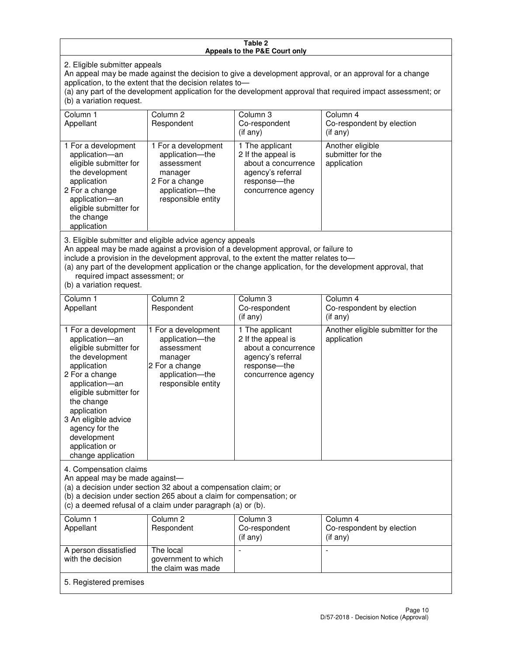#### **Table 2 Appeals to the P&E Court only**

2. Eligible submitter appeals

An appeal may be made against the decision to give a development approval, or an approval for a change application, to the extent that the decision relates to—

(a) any part of the development application for the development approval that required impact assessment; or (b) a variation request.

| Column 1<br>Appellant                                                                                                                                                                                                                                                                                                                                                                                              | Column 2<br>Respondent                                                                                                     | Column 3<br>Co-respondent<br>$($ if any $)$                                                                             | Column 4<br>Co-respondent by election<br>$(if$ any)  |  |
|--------------------------------------------------------------------------------------------------------------------------------------------------------------------------------------------------------------------------------------------------------------------------------------------------------------------------------------------------------------------------------------------------------------------|----------------------------------------------------------------------------------------------------------------------------|-------------------------------------------------------------------------------------------------------------------------|------------------------------------------------------|--|
| 1 For a development<br>application-an<br>eligible submitter for<br>the development<br>application<br>2 For a change<br>application-an<br>eligible submitter for<br>the change<br>application                                                                                                                                                                                                                       | 1 For a development<br>application-the<br>assessment<br>manager<br>2 For a change<br>application-the<br>responsible entity | 1 The applicant<br>2 If the appeal is<br>about a concurrence<br>agency's referral<br>response-the<br>concurrence agency | Another eligible<br>submitter for the<br>application |  |
| 3. Eligible submitter and eligible advice agency appeals<br>An appeal may be made against a provision of a development approval, or failure to<br>include a provision in the development approval, to the extent the matter relates to-<br>(a) any part of the development application or the change application, for the development approval, that<br>required impact assessment; or<br>(b) a variation request. |                                                                                                                            |                                                                                                                         |                                                      |  |
| Column 1<br>Appellant                                                                                                                                                                                                                                                                                                                                                                                              | Column <sub>2</sub><br>Respondent                                                                                          | Column 3<br>Co-respondent<br>(if any)                                                                                   | Column 4<br>Co-respondent by election<br>(if any)    |  |

| . .                                                                                                                                                                                                                                                                                           |                                                                                                                               | (if any)                                                                                                                 | (if any)                                          |
|-----------------------------------------------------------------------------------------------------------------------------------------------------------------------------------------------------------------------------------------------------------------------------------------------|-------------------------------------------------------------------------------------------------------------------------------|--------------------------------------------------------------------------------------------------------------------------|---------------------------------------------------|
| 1 For a development<br>application-an<br>eligible submitter for<br>the development<br>application<br>2 For a change<br>application-an<br>eligible submitter for<br>the change<br>application<br>3 An eligible advice<br>agency for the<br>development<br>application or<br>change application | 1 For a development<br>application----the<br>assessment<br>manager<br>2 For a change<br>application-the<br>responsible entity | 1 The applicant<br>2 If the appeal is<br>about a concurrence<br>agency's referral<br>response--the<br>concurrence agency | Another eligible submitter for the<br>application |
|                                                                                                                                                                                                                                                                                               |                                                                                                                               |                                                                                                                          |                                                   |

4. Compensation claims

An appeal may be made against—

(a) a decision under section 32 about a compensation claim; or

(b) a decision under section 265 about a claim for compensation; or

(c) a deemed refusal of a claim under paragraph (a) or (b).

| Column 1<br>Appellant                      | Column 2<br>Respondent                                 | Column 3<br>Co-respondent<br>(if any) | Column 4<br>Co-respondent by election<br>$($ if any $)$ |
|--------------------------------------------|--------------------------------------------------------|---------------------------------------|---------------------------------------------------------|
| A person dissatisfied<br>with the decision | The local<br>government to which<br>the claim was made | -                                     |                                                         |
| 5. Registered premises                     |                                                        |                                       |                                                         |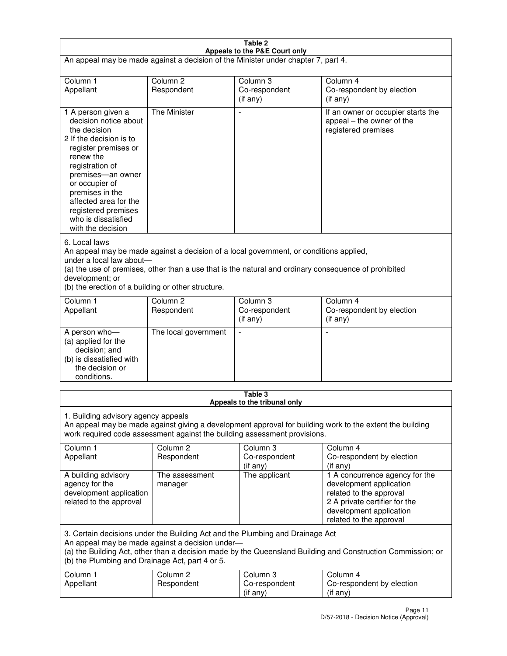| Table 2<br>Appeals to the P&E Court only                                                                                                                                                                                                                                                                             |                                   |                                                  |                                                                                                                                                                             |  |
|----------------------------------------------------------------------------------------------------------------------------------------------------------------------------------------------------------------------------------------------------------------------------------------------------------------------|-----------------------------------|--------------------------------------------------|-----------------------------------------------------------------------------------------------------------------------------------------------------------------------------|--|
| An appeal may be made against a decision of the Minister under chapter 7, part 4.                                                                                                                                                                                                                                    |                                   |                                                  |                                                                                                                                                                             |  |
|                                                                                                                                                                                                                                                                                                                      |                                   |                                                  |                                                                                                                                                                             |  |
| Column 1<br>Appellant                                                                                                                                                                                                                                                                                                | Column <sub>2</sub><br>Respondent | Column <sub>3</sub><br>Co-respondent<br>(if any) | Column <sub>4</sub><br>Co-respondent by election<br>(if any)                                                                                                                |  |
| 1 A person given a<br>decision notice about<br>the decision<br>2 If the decision is to<br>register premises or<br>renew the<br>registration of<br>premises-an owner<br>or occupier of<br>premises in the<br>affected area for the<br>registered premises<br>who is dissatisfied<br>with the decision                 | <b>The Minister</b>               |                                                  | If an owner or occupier starts the<br>appeal – the owner of the<br>registered premises                                                                                      |  |
| 6. Local laws<br>An appeal may be made against a decision of a local government, or conditions applied,<br>under a local law about-<br>(a) the use of premises, other than a use that is the natural and ordinary consequence of prohibited<br>development; or<br>(b) the erection of a building or other structure. |                                   |                                                  |                                                                                                                                                                             |  |
| Column 1<br>Appellant                                                                                                                                                                                                                                                                                                | Column <sub>2</sub><br>Respondent | Column 3<br>Co-respondent<br>(if any)            | Column $\overline{4}$<br>Co-respondent by election<br>(if any)                                                                                                              |  |
| A person who-<br>(a) applied for the<br>decision; and<br>(b) is dissatisfied with<br>the decision or<br>conditions.                                                                                                                                                                                                  | The local government              |                                                  |                                                                                                                                                                             |  |
| Table 3                                                                                                                                                                                                                                                                                                              |                                   |                                                  |                                                                                                                                                                             |  |
| Appeals to the tribunal only<br>1. Building advisory agency appeals<br>An appeal may be made against giving a development approval for building work to the extent the building<br>work required code assessment against the building assessment provisions.                                                         |                                   |                                                  |                                                                                                                                                                             |  |
| Column 1<br>Appellant                                                                                                                                                                                                                                                                                                | Column <sub>2</sub><br>Respondent | Column 3<br>Co-respondent<br>(if any)            | Column 4<br>Co-respondent by election<br>(if any)                                                                                                                           |  |
| A building advisory<br>agency for the<br>development application<br>related to the approval                                                                                                                                                                                                                          | The assessment<br>manager         | The applicant                                    | 1 A concurrence agency for the<br>development application<br>related to the approval<br>2 A private certifier for the<br>development application<br>related to the approval |  |
| 3. Certain decisions under the Building Act and the Plumbing and Drainage Act<br>An appeal may be made against a decision under-<br>(a) the Building Act, other than a decision made by the Queensland Building and Construction Commission; or<br>(b) the Plumbing and Drainage Act, part 4 or 5.                   |                                   |                                                  |                                                                                                                                                                             |  |
| Column 1<br>Appellant                                                                                                                                                                                                                                                                                                | Column <sub>2</sub><br>Respondent | Column 3<br>Co-respondent<br>(if any)            | Column 4<br>Co-respondent by election<br>(if any)                                                                                                                           |  |